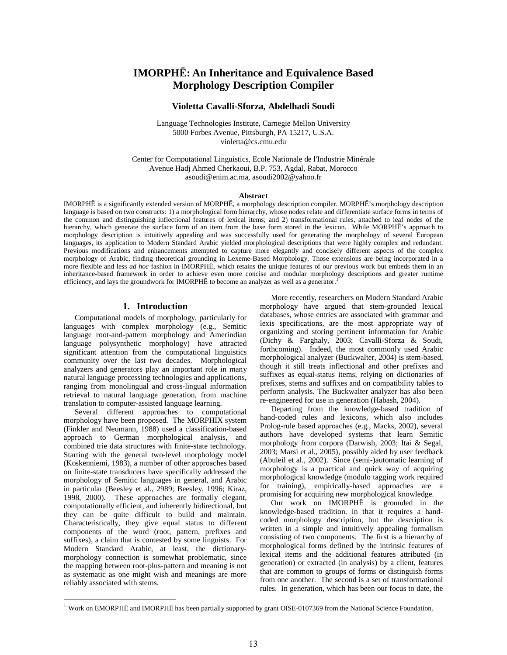# **IMORPHĒ: An Inheritance and Equivalence Based Morphology Description Compiler**

### **Violetta Cavalli-Sforza, Abdelhadi Soudi**

Language Technologies Institute, Carnegie Mellon University 5000 Forbes Avenue, Pittsburgh, PA 15217, U.S.A. violetta@cs.cmu.edu

Center for Computational Linguistics, Ecole Nationale de l'Industrie Minérale Avenue Hadj Ahmed Cherkaoui, B.P. 753, Agdal, Rabat, Morocco asoudi@enim.ac.ma, asoudi2002@yahoo.fr

#### **Abstract**

IMORPHĒ is a significantly extended version of MORPHĒ, a morphology description compiler. MORPHĒ's morphology description language is based on two constructs: 1) a morphological form hierarchy, whose nodes relate and differentiate surface forms in terms of the common and distinguishing inflectional features of lexical items; and 2) transformational rules, attached to leaf nodes of the hierarchy, which generate the surface form of an item from the base form stored in the lexicon. While MORPHĒ's approach to morphology description is intuitively appealing and was successfully used for generating the morphology of several European languages, its application to Modern Standard Arabic yielded morphological descriptions that were highly complex and redundant. Previous modifications and enhancements attempted to capture more elegantly and concisely different aspects of the complex morphology of Arabic, finding theoretical grounding in Lexeme-Based Morphology. Those extensions are being incorporated in a more flexible and less *ad hoc* fashion in IMORPHĒ, which retains the unique features of our previous work but embeds them in an inheritance-based framework in order to achieve even more concise and modular morphology descriptions and greater runtime efficiency, and lays the groundwork for IMORPHĒ to become an analyzer as well as a generator.<sup>1</sup>

#### **1. Introduction**

Computational models of morphology, particularly for languages with complex morphology (e.g., Semitic language root-and-pattern morphology and Amerindian language polysynthetic morphology) have attracted significant attention from the computational linguistics community over the last two decades. Morphological analyzers and generators play an important role in many natural language processing technologies and applications, ranging from monolingual and cross-lingual information retrieval to natural language generation, from machine translation to computer-assisted language learning.

Several different approaches to computational morphology have been proposed. The MORPHIX system (Finkler and Neumann, 1988) used a classification-based approach to German morphological analysis, and combined trie data structures with finite-state technology. Starting with the general two-level morphology model (Koskenniemi, 1983), a number of other approaches based on finite-state transducers have specifically addressed the morphology of Semitic languages in general, and Arabic in particular (Beesley et al., 2989; Beesley, 1996; Kiraz, 1998, 2000). These approaches are formally elegant, computationally efficient, and inherently bidirectional, but they can be quite difficult to build and maintain. Characteristically, they give equal status to different components of the word (root, pattern, prefixes and suffixes), a claim that is contested by some linguists. For Modern Standard Arabic, at least, the dictionarymorphology connection is somewhat problematic, since the mapping between root-plus-pattern and meaning is not as systematic as one might wish and meanings are more reliably associated with stems.

-

More recently, researchers on Modern Standard Arabic morphology have argued that stem-grounded lexical databases, whose entries are associated with grammar and lexis specifications, are the most appropriate way of organizing and storing pertinent information for Arabic (Dichy & Farghaly, 2003; Cavalli-Sforza & Soudi, forthcoming). Indeed, the most commonly used Arabic morphological analyzer (Buckwalter, 2004) is stem-based, though it still treats inflectional and other prefixes and suffixes as equal-status items, relying on dictionaries of prefixes, stems and suffixes and on compatibility tables to perform analysis. The Buckwalter analyzer has also been re-engineered for use in generation (Habash, 2004).

Departing from the knowledge-based tradition of hand-coded rules and lexicons, which also includes Prolog-rule based approaches (e.g., Macks, 2002), several authors have developed systems that learn Semitic morphology from corpora (Darwish, 2003; Itai & Segal, 2003; Marsi et al., 2005), possibly aided by user feedback (Abuleil et al., 2002). Since (semi-)automatic learning of morphology is a practical and quick way of acquiring morphological knowledge (modulo tagging work required for training), empirically-based approaches are a promising for acquiring new morphological knowledge.

Our work on IMORPHĒ is grounded in the knowledge-based tradition, in that it requires a handcoded morphology description, but the description is written in a simple and intuitively appealing formalism consisting of two components. The first is a hierarchy of morphological forms defined by the intrinsic features of lexical items and the additional features attributed (in generation) or extracted (in analysis) by a client, features that are common to groups of forms or distinguish forms from one another. The second is a set of transformational rules. In generation, which has been our focus to date, the

 $1$  Work on EMORPHĒ and IMORPHĒ has been partially supported by grant OISE-0107369 from the National Science Foundation.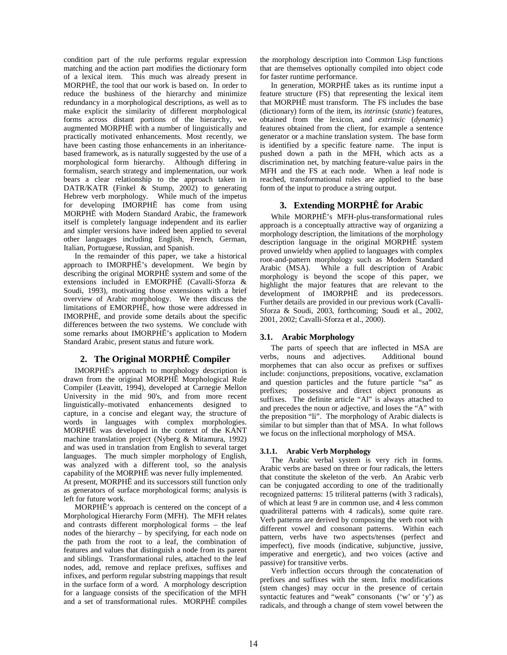condition part of the rule performs regular expression matching and the action part modifies the dictionary form of a lexical item. This much was already present in MORPHĒ, the tool that our work is based on. In order to reduce the bushiness of the hierarchy and minimize redundancy in a morphological descriptions, as well as to make explicit the similarity of different morphological forms across distant portions of the hierarchy, we augmented MORPHĒ with a number of linguistically and practically motivated enhancements. Most recently, we have been casting those enhancements in an inheritancebased framework, as is naturally suggested by the use of a morphological form hierarchy. Although differing in formalism, search strategy and implementation, our work bears a clear relationship to the approach taken in DATR/KATR (Finkel & Stump, 2002) to generating Hebrew verb morphology. While much of the impetus for developing IMORPHĒ has come from using MORPHĒ with Modern Standard Arabic, the framework itself is completely language independent and its earlier and simpler versions have indeed been applied to several other languages including English, French, German, Italian, Portuguese, Russian, and Spanish.

In the remainder of this paper, we take a historical approach to IMORPHĒ's development. We begin by describing the original MORPHĒ system and some of the extensions included in EMORPHĒ (Cavalli-Sforza & Soudi, 1993), motivating those extensions with a brief overview of Arabic morphology. We then discuss the limitations of EMORPHĒ, how those were addressed in IMORPHĒ, and provide some details about the specific differences between the two systems. We conclude with some remarks about IMORPHĒ's application to Modern Standard Arabic, present status and future work.

# **2. The Original MORPHĒ Compiler**

IMORPHĒ's approach to morphology description is drawn from the original MORPHĒ Morphological Rule Compiler (Leavitt, 1994), developed at Carnegie Mellon University in the mid 90's, and from more recent linguistically–motivated enhancements designed to capture, in a concise and elegant way, the structure of words in languages with complex morphologies. MORPHĒ was developed in the context of the KANT machine translation project (Nyberg & Mitamura, 1992) and was used in translation from English to several target languages. The much simpler morphology of English, was analyzed with a different tool, so the analysis capability of the MORPHĒ was never fully implemented.

At present, MORPHĒ and its successors still function only as generators of surface morphological forms; analysis is left for future work.

MORPHĒ's approach is centered on the concept of a Morphological Hierarchy Form (MFH). The MFH relates and contrasts different morphological forms – the leaf nodes of the hierarchy – by specifying, for each node on the path from the root to a leaf, the combination of features and values that distinguish a node from its parent and siblings. Transformational rules, attached to the leaf nodes, add, remove and replace prefixes, suffixes and infixes, and perform regular substring mappings that result in the surface form of a word. A morphology description for a language consists of the specification of the MFH and a set of transformational rules. MORPHĒ compiles the morphology description into Common Lisp functions that are themselves optionally compiled into object code for faster runtime performance.

In generation, MORPHĒ takes as its runtime input a feature structure (FS) that representing the lexical item that MORPHĒ must transform. The FS includes the base (dictionary) form of the item, its *intrinsic* (*static*) features, obtained from the lexicon, and *extrinsic* (*dynamic*) features obtained from the client, for example a sentence generator or a machine translation system. The base form is identified by a specific feature name. The input is pushed down a path in the MFH, which acts as a discrimination net, by matching feature-value pairs in the MFH and the FS at each node. When a leaf node is reached, transformational rules are applied to the base form of the input to produce a string output.

# **3. Extending MORPHĒ for Arabic**

While MORPHĒ's MFH-plus-transformational rules approach is a conceptually attractive way of organizing a morphology description, the limitations of the morphology description language in the original MORPHĒ system proved unwieldy when applied to languages with complex root-and-pattern morphology such as Modern Standard Arabic (MSA). While a full description of Arabic morphology is beyond the scope of this paper, we highlight the major features that are relevant to the development of IMORPHĒ and its predecessors. Further details are provided in our previous work (Cavalli-Sforza & Soudi, 2003, forthcoming; Soudi et al., 2002, 2001, 2002; Cavalli-Sforza et al., 2000).

# **3.1. Arabic Morphology**

The parts of speech that are inflected in MSA are verbs, nouns and adjectives. Additional bound morphemes that can also occur as prefixes or suffixes include: conjunctions, prepositions, vocative, exclamation and question particles and the future particle "sa" as prefixes; possessive and direct object pronouns as suffixes. The definite article "Al" is always attached to and precedes the noun or adjective, and loses the "A" with the preposition "li". The morphology of Arabic dialects is similar to but simpler than that of MSA. In what follows we focus on the inflectional morphology of MSA.

# **3.1.1. Arabic Verb Morphology**

The Arabic verbal system is very rich in forms. Arabic verbs are based on three or four radicals, the letters that constitute the skeleton of the verb. An Arabic verb can be conjugated according to one of the traditionally recognized patterns: 15 triliteral patterns (with 3 radicals), of which at least 9 are in common use, and 4 less common quadriliteral patterns with 4 radicals), some quite rare. Verb patterns are derived by composing the verb root with different vowel and consonant patterns. Within each pattern, verbs have two aspects/tenses (perfect and imperfect), five moods (indicative, subjunctive, jussive, imperative and energetic), and two voices (active and passive) for transitive verbs.

Verb inflection occurs through the concatenation of prefixes and suffixes with the stem. Infix modifications (stem changes) may occur in the presence of certain syntactic features and "weak" consonants ('w' or 'y') as radicals, and through a change of stem vowel between the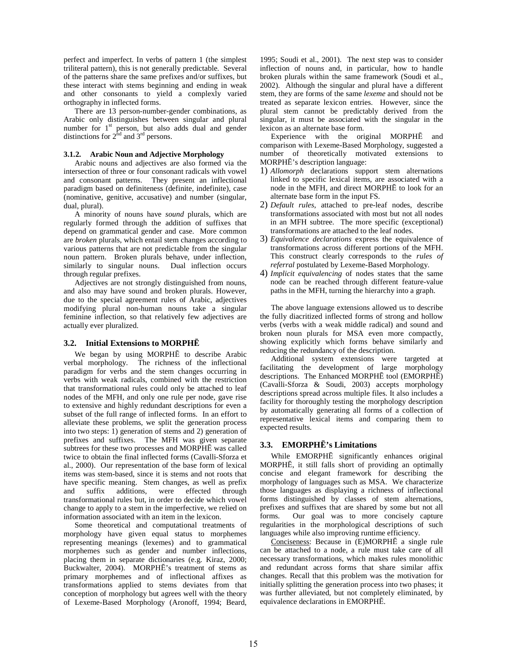perfect and imperfect. In verbs of pattern 1 (the simplest triliteral pattern), this is not generally predictable. Several of the patterns share the same prefixes and/or suffixes, but these interact with stems beginning and ending in weak and other consonants to yield a complexly varied orthography in inflected forms.

There are 13 person-number-gender combinations, as Arabic only distinguishes between singular and plural number for  $1<sup>st</sup>$  person, but also adds dual and gender distinctions for  $2^{\text{nd}}$  and  $3^{\text{rd}}$  persons.

#### **3.1.2. Arabic Noun and Adjective Morphology**

Arabic nouns and adjectives are also formed via the intersection of three or four consonant radicals with vowel and consonant patterns. They present an inflectional paradigm based on definiteness (definite, indefinite), case (nominative, genitive, accusative) and number (singular, dual, plural).

A minority of nouns have *sound* plurals, which are regularly formed through the addition of suffixes that depend on grammatical gender and case. More common are *broken* plurals, which entail stem changes according to various patterns that are not predictable from the singular noun pattern. Broken plurals behave, under inflection, similarly to singular nouns. Dual inflection occurs through regular prefixes.

Adjectives are not strongly distinguished from nouns, and also may have sound and broken plurals. However, due to the special agreement rules of Arabic, adjectives modifying plural non-human nouns take a singular feminine inflection, so that relatively few adjectives are actually ever pluralized.

#### **3.2. Initial Extensions to MORPHĒ**

We began by using MORPHĒ to describe Arabic verbal morphology. The richness of the inflectional paradigm for verbs and the stem changes occurring in verbs with weak radicals, combined with the restriction that transformational rules could only be attached to leaf nodes of the MFH, and only one rule per node, gave rise to extensive and highly redundant descriptions for even a subset of the full range of inflected forms. In an effort to alleviate these problems, we split the generation process into two steps: 1) generation of stems and 2) generation of prefixes and suffixes. The MFH was given separate subtrees for these two processes and MORPHĒ was called twice to obtain the final inflected forms (Cavalli-Sforza et al., 2000). Our representation of the base form of lexical items was stem-based, since it is stems and not roots that have specific meaning. Stem changes, as well as prefix and suffix additions, were effected through transformational rules but, in order to decide which vowel change to apply to a stem in the imperfective, we relied on information associated with an item in the lexicon.

Some theoretical and computational treatments of morphology have given equal status to morphemes representing meanings (lexemes) and to grammatical morphemes such as gender and number inflections, placing them in separate dictionaries (e.g. Kiraz, 2000; Buckwalter, 2004). MORPHĒ's treatment of stems as primary morphemes and of inflectional affixes as transformations applied to stems deviates from that conception of morphology but agrees well with the theory of Lexeme-Based Morphology (Aronoff, 1994; Beard,

1995; Soudi et al., 2001). The next step was to consider inflection of nouns and, in particular, how to handle broken plurals within the same framework (Soudi et al., 2002). Although the singular and plural have a different stem, they are forms of the same *lexeme* and should not be treated as separate lexicon entries. However, since the plural stem cannot be predictably derived from the singular, it must be associated with the singular in the lexicon as an alternate base form.

Experience with the original MORPHĒ and comparison with Lexeme-Based Morphology, suggested a number of theoretically motivated extensions to MORPHĒ's description language:

- 1) *Allomorph* declarations support stem alternations linked to specific lexical items, are associated with a node in the MFH, and direct MORPHĒ to look for an alternate base form in the input FS.
- 2) *Default rules*, attached to pre-leaf nodes, describe transformations associated with most but not all nodes in an MFH subtree. The more specific (exceptional) transformations are attached to the leaf nodes.
- 3) *Equivalence declarations* express the equivalence of transformations across different portions of the MFH. This construct clearly corresponds to the *rules of referral* postulated by Lexeme-Based Morphology.
- 4) *Implicit equivalencing* of nodes states that the same node can be reached through different feature-value paths in the MFH, turning the hierarchy into a graph.

The above language extensions allowed us to describe the fully diacritized inflected forms of strong and hollow verbs (verbs with a weak middle radical) and sound and broken noun plurals for MSA even more compactly, showing explicitly which forms behave similarly and reducing the redundancy of the description.

Additional system extensions were targeted at facilitating the development of large morphology descriptions. The Enhanced MORPHĒ tool (EMORPHĒ) (Cavalli-Sforza & Soudi, 2003) accepts morphology descriptions spread across multiple files. It also includes a facility for thoroughly testing the morphology description by automatically generating all forms of a collection of representative lexical items and comparing them to expected results.

### **3.3. EMORPHĒ's Limitations**

While EMORPHĒ significantly enhances original MORPHĒ, it still falls short of providing an optimally concise and elegant framework for describing the morphology of languages such as MSA. We characterize those languages as displaying a richness of inflectional forms distinguished by classes of stem alternations, prefixes and suffixes that are shared by some but not all forms. Our goal was to more concisely capture regularities in the morphological descriptions of such languages while also improving runtime efficiency.

Conciseness: Because in (E)MORPHĒ a single rule can be attached to a node, a rule must take care of all necessary transformations, which makes rules monolithic and redundant across forms that share similar affix changes. Recall that this problem was the motivation for initially splitting the generation process into two phases; it was further alleviated, but not completely eliminated, by equivalence declarations in EMORPHĒ.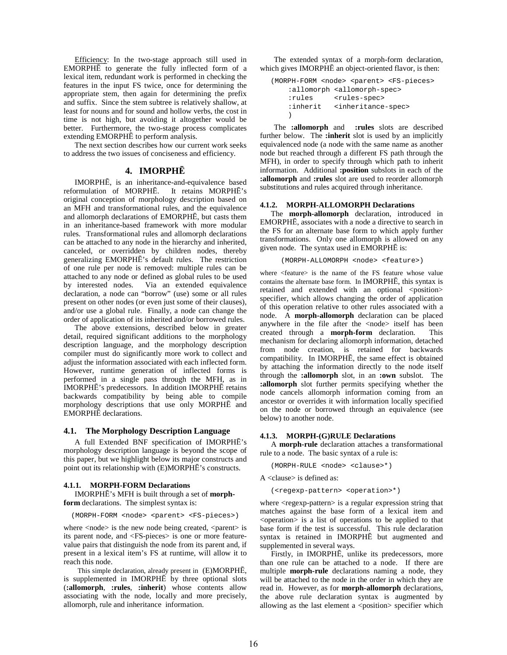Efficiency: In the two-stage approach still used in EMORPHĒ to generate the fully inflected form of a lexical item, redundant work is performed in checking the features in the input FS twice, once for determining the appropriate stem, then again for determining the prefix and suffix. Since the stem subtree is relatively shallow, at least for nouns and for sound and hollow verbs, the cost in time is not high, but avoiding it altogether would be better. Furthermore, the two-stage process complicates extending EMORPHĒ to perform analysis.

The next section describes how our current work seeks to address the two issues of conciseness and efficiency.

#### **4. IMORPHĒ**

IMORPHĒ, is an inheritance-and-equivalence based reformulation of MORPHĒ. It retains MORPHĒ's original conception of morphology description based on an MFH and transformational rules, and the equivalence and allomorph declarations of EMORPHĒ, but casts them in an inheritance-based framework with more modular rules. Transformational rules and allomorph declarations can be attached to any node in the hierarchy and inherited, canceled, or overridden by children nodes, thereby generalizing EMORPHĒ's default rules. The restriction of one rule per node is removed: multiple rules can be attached to any node or defined as global rules to be used by interested nodes. Via an extended equivalence declaration, a node can "borrow" (use) some or all rules present on other nodes (or even just some of their clauses), and/or use a global rule. Finally, a node can change the order of application of its inherited and/or borrowed rules.

The above extensions, described below in greater detail, required significant additions to the morphology description language, and the morphology description compiler must do significantly more work to collect and adjust the information associated with each inflected form. However, runtime generation of inflected forms is performed in a single pass through the MFH, as in IMORPHĒ's predecessors. In addition IMORPHĒ retains backwards compatibility by being able to compile morphology descriptions that use only MORPHĒ and EMORPHĒ declarations.

#### **4.1. The Morphology Description Language**

A full Extended BNF specification of IMORPHĒ's morphology description language is beyond the scope of this paper, but we highlight below its major constructs and point out its relationship with (E)MORPHĒ's constructs.

#### **4.1.1. MORPH-FORM Declarations**

IMORPHĒ's MFH is built through a set of **morphform** declarations. The simplest syntax is:

(MORPH-FORM <node> <parent> <FS-pieces>)

where  $<$ node $>$  is the new node being created,  $<$ parent $>$  is its parent node, and <FS-pieces> is one or more featurevalue pairs that distinguish the node from its parent and, if present in a lexical item's FS at runtime, will allow it to reach this node.

This simple declaration, already present in (E)MORPHĒ, is supplemented in IMORPHĒ by three optional slots (**:allomorph**, **:rules**, **:inherit**) whose contents allow associating with the node, locally and more precisely, allomorph, rule and inheritance information.

The extended syntax of a morph-form declaration, which gives IMORPHĒ an object-oriented flavor, is then:

```
(MORPH-FORM <node> <parent> <FS-pieces> 
 :allomorph <allomorph-spec> 
 :rules <rules-spec> 
:inherit <inheritance-spec>
\lambda
```
The **:allomorph** and **:rules** slots are described further below. The **:inherit** slot is used by an implicitly equivalenced node (a node with the same name as another node but reached through a different FS path through the MFH), in order to specify through which path to inherit information. Additional **:position** subslots in each of the **:allomorph** and **:rules** slot are used to reorder allomorph substitutions and rules acquired through inheritance.

#### **4.1.2. MORPH-ALLOMORPH Declarations**

The **morph-allomorph** declaration, introduced in EMORPHĒ, associates with a node a directive to search in the FS for an alternate base form to which apply further transformations. Only one allomorph is allowed on any given node. The syntax used in EMORPHĒ is:

(MORPH-ALLOMORPH <node> <feature>)

where <feature> is the name of the FS feature whose value contains the alternate base form. In IMORPHĒ, this syntax is retained and extended with an optional  $\leq$  position $>$ specifier, which allows changing the order of application of this operation relative to other rules associated with a node. A **morph-allomorph** declaration can be placed anywhere in the file after the <node> itself has been created through a **morph-form** declaration. This mechanism for declaring allomorph information, detached from node creation, is retained for backwards compatibility. In IMORPHĒ, the same effect is obtained by attaching the information directly to the node itself through the **:allomorph** slot, in an **:own** subslot. The **:allomorph** slot further permits specifying whether the node cancels allomorph information coming from an ancestor or overrides it with information locally specified on the node or borrowed through an equivalence (see below) to another node.

#### **4.1.3. MORPH-(G)RULE Declarations**

A **morph-rule** declaration attaches a transformational rule to a node. The basic syntax of a rule is:

(MORPH-RULE <node> <clause>\*)

A <clause> is defined as:

(<regexp-pattern> <operation>\*)

where <regexp-pattern> is a regular expression string that matches against the base form of a lexical item and  $\leq$  operation $\geq$  is a list of operations to be applied to that base form if the test is successful. This rule declaration syntax is retained in IMORPHĒ but augmented and supplemented in several ways.

Firstly, in IMORPHĒ, unlike its predecessors, more than one rule can be attached to a node. If there are multiple **morph-rule** declarations naming a node, they will be attached to the node in the order in which they are read in. However, as for **morph-allomorph** declarations, the above rule declaration syntax is augmented by allowing as the last element a <position> specifier which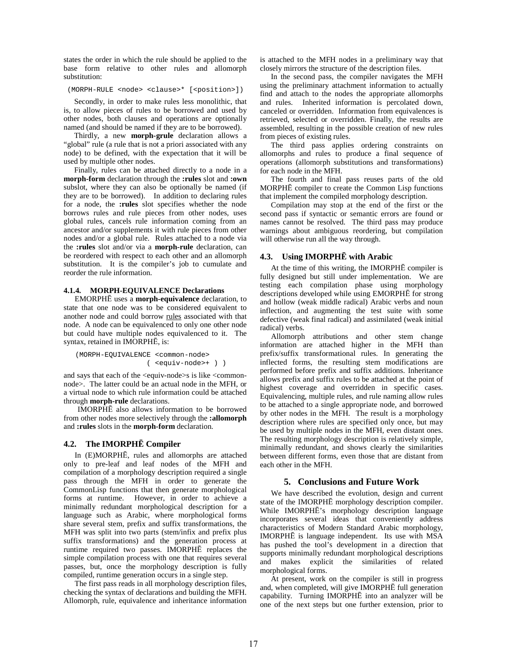states the order in which the rule should be applied to the base form relative to other rules and allomorph substitution:

(MORPH-RULE <node> <clause>\* [<position>])

Secondly, in order to make rules less monolithic, that is, to allow pieces of rules to be borrowed and used by other nodes, both clauses and operations are optionally named (and should be named if they are to be borrowed).

Thirdly, a new **morph-grule** declaration allows a "global" rule (a rule that is not a priori associated with any node) to be defined, with the expectation that it will be used by multiple other nodes.

Finally, rules can be attached directly to a node in a **morph-form** declaration through the **:rules** slot and **:own** subslot, where they can also be optionally be named (if they are to be borrowed). In addition to declaring rules for a node, the **:rules** slot specifies whether the node borrows rules and rule pieces from other nodes, uses global rules, cancels rule information coming from an ancestor and/or supplements it with rule pieces from other nodes and/or a global rule. Rules attached to a node via the **:rules** slot and/or via a **morph-rule** declaration, can be reordered with respect to each other and an allomorph substitution. It is the compiler's job to cumulate and reorder the rule information.

### **4.1.4. MORPH-EQUIVALENCE Declarations**

EMORPHĒ uses a **morph-equivalence** declaration, to state that one node was to be considered equivalent to another node and could borrow rules associated with that node. A node can be equivalenced to only one other node but could have multiple nodes equivalenced to it. The syntax, retained in IMORPHĒ, is:

```
 (MORPH-EQUIVALENCE <common-node> 
               ( <equiv-node>+ ) )
```
and says that each of the  $\le$ equiv-node>s is like  $\le$ commonnode>. The latter could be an actual node in the MFH, or a virtual node to which rule information could be attached through **morph-rule** declarations.

IMORPHĒ also allows information to be borrowed from other nodes more selectively through the **:allomorph** and **:rules** slots in the **morph-form** declaration.

#### **4.2. The IMORPHĒ Compiler**

In (E)MORPHĒ, rules and allomorphs are attached only to pre-leaf and leaf nodes of the MFH and compilation of a morphology description required a single pass through the MFH in order to generate the CommonLisp functions that then generate morphological forms at runtime. However, in order to achieve a minimally redundant morphological description for a language such as Arabic, where morphological forms share several stem, prefix and suffix transformations, the MFH was split into two parts (stem/infix and prefix plus suffix transformations) and the generation process at runtime required two passes. IMORPHĒ replaces the simple compilation process with one that requires several passes, but, once the morphology description is fully compiled, runtime generation occurs in a single step.

The first pass reads in all morphology description files, checking the syntax of declarations and building the MFH. Allomorph, rule, equivalence and inheritance information

is attached to the MFH nodes in a preliminary way that closely mirrors the structure of the description files.

In the second pass, the compiler navigates the MFH using the preliminary attachment information to actually find and attach to the nodes the appropriate allomorphs and rules. Inherited information is percolated down, canceled or overridden. Information from equivalences is retrieved, selected or overridden. Finally, the results are assembled, resulting in the possible creation of new rules from pieces of existing rules.

The third pass applies ordering constraints on allomorphs and rules to produce a final sequence of operations (allomorph substitutions and transformations) for each node in the MFH.

The fourth and final pass reuses parts of the old MORPHĒ compiler to create the Common Lisp functions that implement the compiled morphology description.

Compilation may stop at the end of the first or the second pass if syntactic or semantic errors are found or names cannot be resolved. The third pass may produce warnings about ambiguous reordering, but compilation will otherwise run all the way through.

#### **4.3. Using IMORPHĒ with Arabic**

At the time of this writing, the IMORPHĒ compiler is fully designed but still under implementation. We are testing each compilation phase using morphology descriptions developed while using EMORPHĒ for strong and hollow (weak middle radical) Arabic verbs and noun inflection, and augmenting the test suite with some defective (weak final radical) and assimilated (weak initial radical) verbs.

Allomorph attributions and other stem change information are attached higher in the MFH than prefix/suffix transformational rules. In generating the inflected forms, the resulting stem modifications are performed before prefix and suffix additions. Inheritance allows prefix and suffix rules to be attached at the point of highest coverage and overridden in specific cases. Equivalencing, multiple rules, and rule naming allow rules to be attached to a single appropriate node, and borrowed by other nodes in the MFH. The result is a morphology description where rules are specified only once, but may be used by multiple nodes in the MFH, even distant ones. The resulting morphology description is relatively simple, minimally redundant, and shows clearly the similarities between different forms, even those that are distant from each other in the MFH.

### **5. Conclusions and Future Work**

We have described the evolution, design and current state of the IMORPHĒ morphology description compiler. While IMORPHĒ's morphology description language incorporates several ideas that conveniently address characteristics of Modern Standard Arabic morphology, IMORPHĒ is language independent. Its use with MSA has pushed the tool's development in a direction that supports minimally redundant morphological descriptions and makes explicit the similarities of related morphological forms.

At present, work on the compiler is still in progress and, when completed, will give IMORPHĒ full generation capability. Turning IMORPHĒ into an analyzer will be one of the next steps but one further extension, prior to